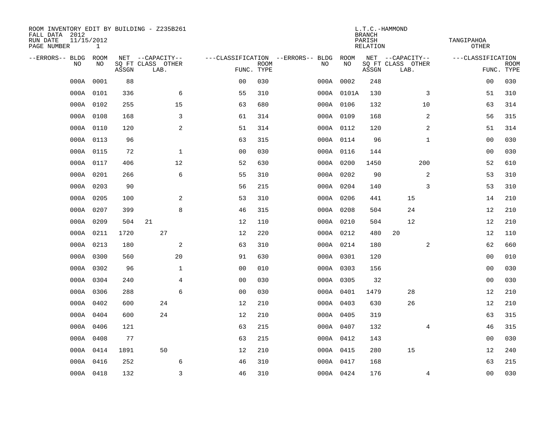| ROOM INVENTORY EDIT BY BUILDING - Z235B261<br>FALL DATA 2012<br>RUN DATE<br>PAGE NUMBER | 11/15/2012<br>$\mathbf{1}$ |       |                                               |                | L.T.C.-HAMMOND<br><b>BRANCH</b><br>PARISH<br><b>RELATION</b> |                                         |            |       |                                               |                   |                           |  |  |
|-----------------------------------------------------------------------------------------|----------------------------|-------|-----------------------------------------------|----------------|--------------------------------------------------------------|-----------------------------------------|------------|-------|-----------------------------------------------|-------------------|---------------------------|--|--|
| --ERRORS-- BLDG<br>NO                                                                   | ROOM<br>NO                 | ASSGN | NET --CAPACITY--<br>SQ FT CLASS OTHER<br>LAB. |                | <b>ROOM</b><br>FUNC. TYPE                                    | ---CLASSIFICATION --ERRORS-- BLDG<br>NO | ROOM<br>NO | ASSGN | NET --CAPACITY--<br>SQ FT CLASS OTHER<br>LAB. | ---CLASSIFICATION | <b>ROOM</b><br>FUNC. TYPE |  |  |
| 000A                                                                                    | 0001                       | 88    |                                               | 0 <sub>0</sub> | 030                                                          |                                         | 000A 0002  | 248   |                                               | 00                | 030                       |  |  |
| 000A                                                                                    | 0101                       | 336   | 6                                             | 55             | 310                                                          |                                         | 000A 0101A | 130   | 3                                             | 51                | 310                       |  |  |
|                                                                                         | 000A 0102                  | 255   | 15                                            | 63             | 680                                                          |                                         | 000A 0106  | 132   | 10                                            | 63                | 314                       |  |  |
|                                                                                         | 000A 0108                  | 168   | 3                                             | 61             | 314                                                          |                                         | 000A 0109  | 168   | 2                                             | 56                | 315                       |  |  |
| 000A                                                                                    | 0110                       | 120   | 2                                             | 51             | 314                                                          |                                         | 000A 0112  | 120   | $\overline{a}$                                | 51                | 314                       |  |  |
|                                                                                         | 000A 0113                  | 96    |                                               | 63             | 315                                                          |                                         | 000A 0114  | 96    | $\mathbf{1}$                                  | 0 <sub>0</sub>    | 030                       |  |  |
| 000A                                                                                    | 0115                       | 72    | $\mathbf{1}$                                  | 0 <sub>0</sub> | 030                                                          |                                         | 000A 0116  | 144   |                                               | 00                | 030                       |  |  |
|                                                                                         | 000A 0117                  | 406   | 12                                            | 52             | 630                                                          |                                         | 000A 0200  | 1450  | 200                                           | 52                | 610                       |  |  |
| 000A                                                                                    | 0201                       | 266   | 6                                             | 55             | 310                                                          |                                         | 000A 0202  | 90    | 2                                             | 53                | 310                       |  |  |
|                                                                                         | 000A 0203                  | 90    |                                               | 56             | 215                                                          |                                         | 000A 0204  | 140   | 3                                             | 53                | 310                       |  |  |
|                                                                                         | 000A 0205                  | 100   | 2                                             | 53             | 310                                                          |                                         | 000A 0206  | 441   | 15                                            | 14                | 210                       |  |  |
|                                                                                         | 000A 0207                  | 399   | 8                                             | 46             | 315                                                          |                                         | 000A 0208  | 504   | 24                                            | 12                | 210                       |  |  |
| 000A                                                                                    | 0209                       | 504   | 21                                            | 12             | 110                                                          |                                         | 000A 0210  | 504   | 12                                            | 12                | 210                       |  |  |
|                                                                                         | 000A 0211                  | 1720  | 27                                            | 12             | 220                                                          |                                         | 000A 0212  | 480   | 20                                            | 12                | 110                       |  |  |
| 000A                                                                                    | 0213                       | 180   | 2                                             | 63             | 310                                                          |                                         | 000A 0214  | 180   | 2                                             | 62                | 660                       |  |  |
|                                                                                         | 000A 0300                  | 560   | 20                                            | 91             | 630                                                          |                                         | 000A 0301  | 120   |                                               | 00                | 010                       |  |  |
|                                                                                         | 000A 0302                  | 96    | $\mathbf{1}$                                  | 0 <sub>0</sub> | 010                                                          |                                         | 000A 0303  | 156   |                                               | 0 <sub>0</sub>    | 030                       |  |  |
|                                                                                         | 000A 0304                  | 240   | $\overline{4}$                                | 0 <sub>0</sub> | 030                                                          |                                         | 000A 0305  | 32    |                                               | 0 <sub>0</sub>    | 030                       |  |  |
|                                                                                         | 000A 0306                  | 288   | 6                                             | 0 <sub>0</sub> | 030                                                          |                                         | 000A 0401  | 1479  | 28                                            | 12                | 210                       |  |  |
|                                                                                         | 000A 0402                  | 600   | 24                                            | 12             | 210                                                          |                                         | 000A 0403  | 630   | 26                                            | 12                | 210                       |  |  |
|                                                                                         | 000A 0404                  | 600   | 24                                            | 12             | 210                                                          |                                         | 000A 0405  | 319   |                                               | 63                | 315                       |  |  |
|                                                                                         | 000A 0406                  | 121   |                                               | 63             | 215                                                          |                                         | 000A 0407  | 132   | 4                                             | 46                | 315                       |  |  |
|                                                                                         | 000A 0408                  | 77    |                                               | 63             | 215                                                          |                                         | 000A 0412  | 143   |                                               | 00                | 030                       |  |  |
|                                                                                         | 000A 0414                  | 1891  | 50                                            | 12             | 210                                                          |                                         | 000A 0415  | 280   | 15                                            | 12                | 240                       |  |  |
| 000A                                                                                    | 0416                       | 252   | 6                                             | 46             | 310                                                          |                                         | 000A 0417  | 168   |                                               | 63                | 215                       |  |  |
|                                                                                         | 000A 0418                  | 132   | $\overline{3}$                                | 46             | 310                                                          |                                         | 000A 0424  | 176   | 4                                             | 0 <sub>0</sub>    | 030                       |  |  |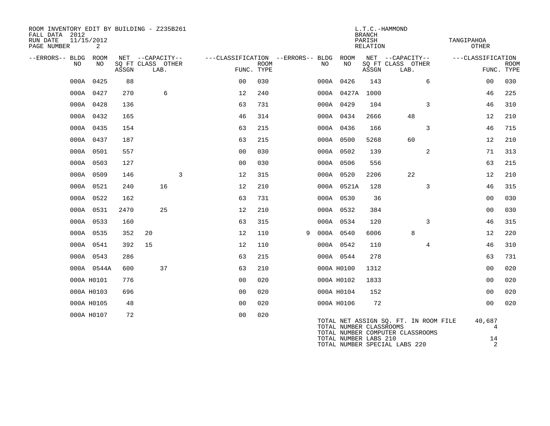| ROOM INVENTORY EDIT BY BUILDING - Z235B261<br>FALL DATA 2012<br>RUN DATE<br>PAGE NUMBER | 11/15/2012<br>2 |       |                                               |   |                                                 |             |   |     |                         | L.T.C.-HAMMOND<br><b>BRANCH</b><br>PARISH<br>RELATION |                                                                           |                | TANGIPAHOA<br>OTHER |                           |
|-----------------------------------------------------------------------------------------|-----------------|-------|-----------------------------------------------|---|-------------------------------------------------|-------------|---|-----|-------------------------|-------------------------------------------------------|---------------------------------------------------------------------------|----------------|---------------------|---------------------------|
| --ERRORS-- BLDG<br>NO                                                                   | ROOM<br>NO      | ASSGN | NET --CAPACITY--<br>SQ FT CLASS OTHER<br>LAB. |   | ---CLASSIFICATION --ERRORS-- BLDG<br>FUNC. TYPE | <b>ROOM</b> |   | NO. | ROOM<br>NO              | ASSGN                                                 | NET --CAPACITY--<br>SQ FT CLASS OTHER<br>LAB.                             |                | ---CLASSIFICATION   | <b>ROOM</b><br>FUNC. TYPE |
|                                                                                         | 000A 0425       | 88    |                                               |   | 0 <sub>0</sub>                                  | 030         |   |     | 000A 0426               | 143                                                   |                                                                           | 6              | 0 <sub>0</sub>      | 030                       |
|                                                                                         | 000A 0427       | 270   | 6                                             |   | 12                                              | 240         |   |     | 000A 0427A              | 1000                                                  |                                                                           |                | 46                  | 225                       |
|                                                                                         | 000A 0428       | 136   |                                               |   | 63                                              | 731         |   |     | 000A 0429               | 104                                                   |                                                                           | 3              | 46                  | 310                       |
|                                                                                         | 000A 0432       | 165   |                                               |   | 46                                              | 314         |   |     | 000A 0434               | 2666                                                  | 48                                                                        |                | 12                  | 210                       |
|                                                                                         | 000A 0435       | 154   |                                               |   | 63                                              | 215         |   |     | 000A 0436               | 166                                                   |                                                                           | 3              | 46                  | 715                       |
|                                                                                         | 000A 0437       | 187   |                                               |   | 63                                              | 215         |   |     | 000A 0500               | 5268                                                  | 60                                                                        |                | 12                  | 210                       |
|                                                                                         | 000A 0501       | 557   |                                               |   | 0 <sub>0</sub>                                  | 030         |   |     | 000A 0502               | 139                                                   |                                                                           | 2              | 71                  | 313                       |
|                                                                                         | 000A 0503       | 127   |                                               |   | 0 <sub>0</sub>                                  | 030         |   |     | 000A 0506               | 556                                                   |                                                                           |                | 63                  | 215                       |
|                                                                                         | 000A 0509       | 146   |                                               | 3 | 12                                              | 315         |   |     | 000A 0520               | 2206                                                  | 22                                                                        |                | 12                  | 210                       |
|                                                                                         | 000A 0521       | 240   | 16                                            |   | 12                                              | 210         |   |     | 000A 0521A              | 128                                                   |                                                                           | 3              | 46                  | 315                       |
|                                                                                         | 000A 0522       | 162   |                                               |   | 63                                              | 731         |   |     | 000A 0530               | 36                                                    |                                                                           |                | 0 <sub>0</sub>      | 030                       |
|                                                                                         | 000A 0531       | 2470  | 25                                            |   | 12                                              | 210         |   |     | 000A 0532               | 384                                                   |                                                                           |                | 00                  | 030                       |
|                                                                                         | 000A 0533       | 160   |                                               |   | 63                                              | 315         |   |     | 000A 0534               | 120                                                   |                                                                           | 3              | 46                  | 315                       |
|                                                                                         | 000A 0535       | 352   | 20                                            |   | 12                                              | 110         | 9 |     | 000A 0540               | 6006                                                  | 8                                                                         |                | 12                  | 220                       |
|                                                                                         | 000A 0541       | 392   | 15                                            |   | 12                                              | 110         |   |     | 000A 0542               | 110                                                   |                                                                           | $\overline{4}$ | 46                  | 310                       |
|                                                                                         | 000A 0543       | 286   |                                               |   | 63                                              | 215         |   |     | 000A 0544               | 278                                                   |                                                                           |                | 63                  | 731                       |
|                                                                                         | 000A 0544A      | 600   | 37                                            |   | 63                                              | 210         |   |     | 000A H0100              | 1312                                                  |                                                                           |                | 0 <sub>0</sub>      | 020                       |
|                                                                                         | 000A H0101      | 776   |                                               |   | 00                                              | 020         |   |     | 000A H0102              | 1833                                                  |                                                                           |                | 00                  | 020                       |
|                                                                                         | 000A H0103      | 696   |                                               |   | 0 <sub>0</sub>                                  | 020         |   |     | 000A H0104              | 152                                                   |                                                                           |                | 0 <sub>0</sub>      | 020                       |
|                                                                                         | 000A H0105      | 48    |                                               |   | 0 <sub>0</sub>                                  | 020         |   |     | 000A H0106              | 72                                                    |                                                                           |                | 0 <sub>0</sub>      | 020                       |
|                                                                                         | 000A H0107      | 72    |                                               |   | 0 <sub>0</sub>                                  | 020         |   |     | TOTAL NUMBER CLASSROOMS |                                                       | TOTAL NET ASSIGN SQ. FT. IN ROOM FILE<br>TOTAL NUMBER COMPUTER CLASSROOMS |                | 40,687              | 4                         |

TOTAL NUMBER LABS 210 14 TOTAL NUMBER SPECIAL LABS 220 2